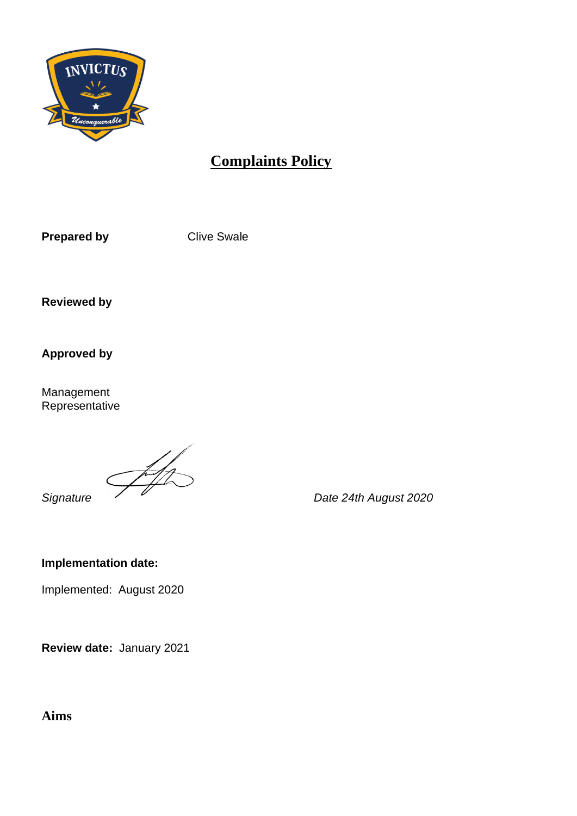

# **Complaints Policy**

**Prepared by Clive Swale** 

**Reviewed by**

**Approved by**

Management Representative

**Signature**  $\overbrace{ }$  Date 24th August 2020

**Implementation date:** 

Implemented: August 2020

**Review date:** January 2021

**Aims**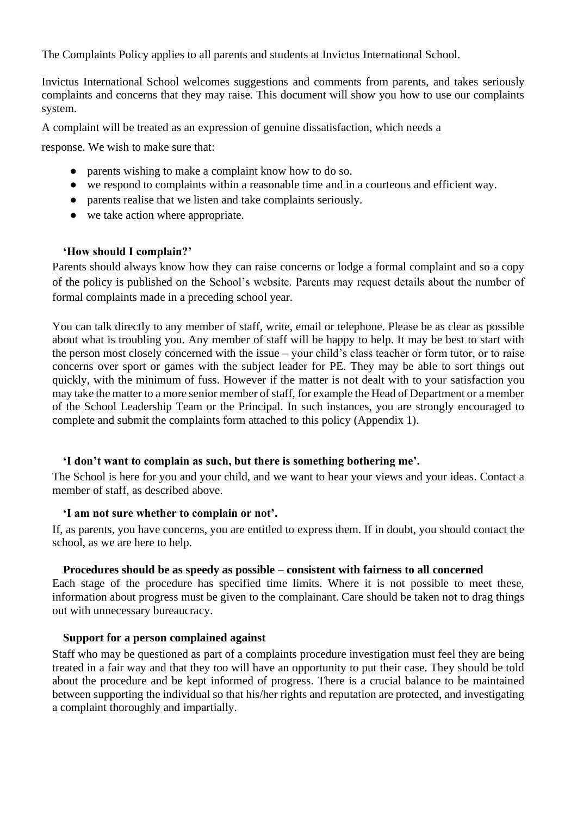The Complaints Policy applies to all parents and students at Invictus International School.

Invictus International School welcomes suggestions and comments from parents, and takes seriously complaints and concerns that they may raise. This document will show you how to use our complaints system.

A complaint will be treated as an expression of genuine dissatisfaction, which needs a

response. We wish to make sure that:

- parents wishing to make a complaint know how to do so.
- we respond to complaints within a reasonable time and in a courteous and efficient way.
- parents realise that we listen and take complaints seriously.
- we take action where appropriate.

### **'How should I complain?'**

Parents should always know how they can raise concerns or lodge a formal complaint and so a copy of the policy is published on the School's website. Parents may request details about the number of formal complaints made in a preceding school year.

You can talk directly to any member of staff, write, email or telephone. Please be as clear as possible about what is troubling you. Any member of staff will be happy to help. It may be best to start with the person most closely concerned with the issue – your child's class teacher or form tutor, or to raise concerns over sport or games with the subject leader for PE. They may be able to sort things out quickly, with the minimum of fuss. However if the matter is not dealt with to your satisfaction you may take the matter to a more senior member of staff, for example the Head of Department or a member of the School Leadership Team or the Principal. In such instances, you are strongly encouraged to complete and submit the complaints form attached to this policy (Appendix 1).

### **'I don't want to complain as such, but there is something bothering me'.**

The School is here for you and your child, and we want to hear your views and your ideas. Contact a member of staff, as described above.

#### **'I am not sure whether to complain or not'.**

If, as parents, you have concerns, you are entitled to express them. If in doubt, you should contact the school, as we are here to help.

#### **Procedures should be as speedy as possible – consistent with fairness to all concerned**

Each stage of the procedure has specified time limits. Where it is not possible to meet these, information about progress must be given to the complainant. Care should be taken not to drag things out with unnecessary bureaucracy.

#### **Support for a person complained against**

Staff who may be questioned as part of a complaints procedure investigation must feel they are being treated in a fair way and that they too will have an opportunity to put their case. They should be told about the procedure and be kept informed of progress. There is a crucial balance to be maintained between supporting the individual so that his/her rights and reputation are protected, and investigating a complaint thoroughly and impartially.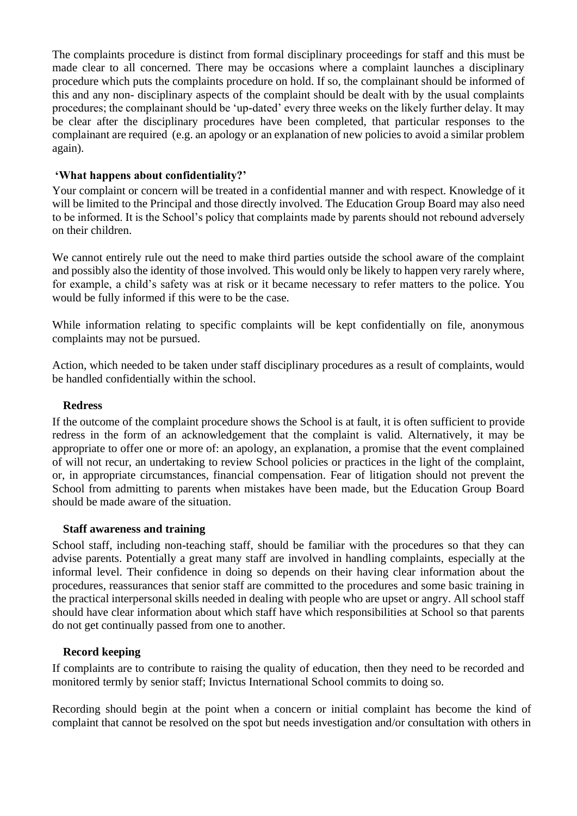The complaints procedure is distinct from formal disciplinary proceedings for staff and this must be made clear to all concerned. There may be occasions where a complaint launches a disciplinary procedure which puts the complaints procedure on hold. If so, the complainant should be informed of this and any non- disciplinary aspects of the complaint should be dealt with by the usual complaints procedures; the complainant should be 'up-dated' every three weeks on the likely further delay. It may be clear after the disciplinary procedures have been completed, that particular responses to the complainant are required (e.g. an apology or an explanation of new policies to avoid a similar problem again).

#### **'What happens about confidentiality?'**

Your complaint or concern will be treated in a confidential manner and with respect. Knowledge of it will be limited to the Principal and those directly involved. The Education Group Board may also need to be informed. It is the School's policy that complaints made by parents should not rebound adversely on their children.

We cannot entirely rule out the need to make third parties outside the school aware of the complaint and possibly also the identity of those involved. This would only be likely to happen very rarely where, for example, a child's safety was at risk or it became necessary to refer matters to the police. You would be fully informed if this were to be the case.

While information relating to specific complaints will be kept confidentially on file, anonymous complaints may not be pursued.

Action, which needed to be taken under staff disciplinary procedures as a result of complaints, would be handled confidentially within the school.

#### **Redress**

If the outcome of the complaint procedure shows the School is at fault, it is often sufficient to provide redress in the form of an acknowledgement that the complaint is valid. Alternatively, it may be appropriate to offer one or more of: an apology, an explanation, a promise that the event complained of will not recur, an undertaking to review School policies or practices in the light of the complaint, or, in appropriate circumstances, financial compensation. Fear of litigation should not prevent the School from admitting to parents when mistakes have been made, but the Education Group Board should be made aware of the situation.

#### **Staff awareness and training**

School staff, including non-teaching staff, should be familiar with the procedures so that they can advise parents. Potentially a great many staff are involved in handling complaints, especially at the informal level. Their confidence in doing so depends on their having clear information about the procedures, reassurances that senior staff are committed to the procedures and some basic training in the practical interpersonal skills needed in dealing with people who are upset or angry. All school staff should have clear information about which staff have which responsibilities at School so that parents do not get continually passed from one to another.

### **Record keeping**

If complaints are to contribute to raising the quality of education, then they need to be recorded and monitored termly by senior staff; Invictus International School commits to doing so.

Recording should begin at the point when a concern or initial complaint has become the kind of complaint that cannot be resolved on the spot but needs investigation and/or consultation with others in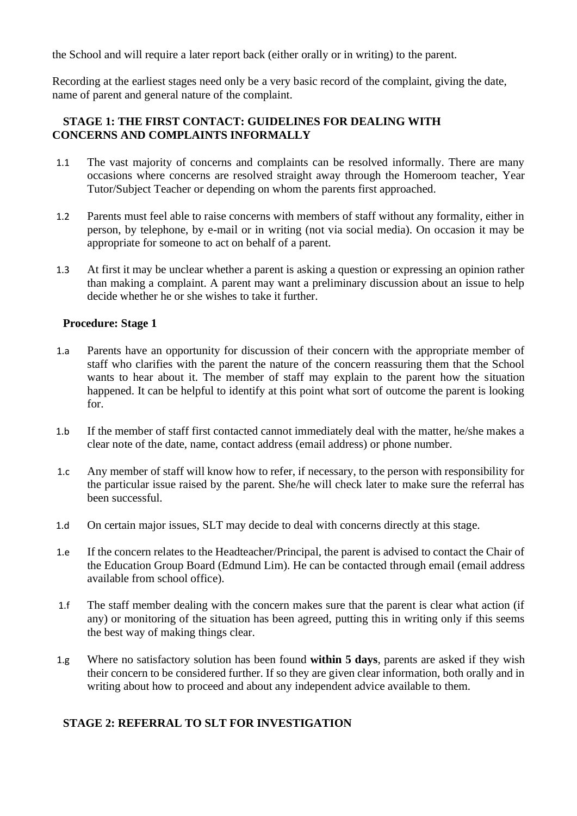the School and will require a later report back (either orally or in writing) to the parent.

Recording at the earliest stages need only be a very basic record of the complaint, giving the date, name of parent and general nature of the complaint.

### **STAGE 1: THE FIRST CONTACT: GUIDELINES FOR DEALING WITH CONCERNS AND COMPLAINTS INFORMALLY**

- 1.1 The vast majority of concerns and complaints can be resolved informally. There are many occasions where concerns are resolved straight away through the Homeroom teacher, Year Tutor/Subject Teacher or depending on whom the parents first approached.
- 1.2 Parents must feel able to raise concerns with members of staff without any formality, either in person, by telephone, by e-mail or in writing (not via social media). On occasion it may be appropriate for someone to act on behalf of a parent.
- 1.3 At first it may be unclear whether a parent is asking a question or expressing an opinion rather than making a complaint. A parent may want a preliminary discussion about an issue to help decide whether he or she wishes to take it further.

#### **Procedure: Stage 1**

- 1.a Parents have an opportunity for discussion of their concern with the appropriate member of staff who clarifies with the parent the nature of the concern reassuring them that the School wants to hear about it. The member of staff may explain to the parent how the situation happened. It can be helpful to identify at this point what sort of outcome the parent is looking for.
- 1.b If the member of staff first contacted cannot immediately deal with the matter, he/she makes a clear note of the date, name, contact address (email address) or phone number.
- 1.c Any member of staff will know how to refer, if necessary, to the person with responsibility for the particular issue raised by the parent. She/he will check later to make sure the referral has been successful.
- 1.d On certain major issues, SLT may decide to deal with concerns directly at this stage.
- 1.e If the concern relates to the Headteacher/Principal, the parent is advised to contact the Chair of the Education Group Board (Edmund Lim). He can be contacted through email (email address available from school office).
- 1.f The staff member dealing with the concern makes sure that the parent is clear what action (if any) or monitoring of the situation has been agreed, putting this in writing only if this seems the best way of making things clear.
- 1.g Where no satisfactory solution has been found **within 5 days**, parents are asked if they wish their concern to be considered further. If so they are given clear information, both orally and in writing about how to proceed and about any independent advice available to them.

### **STAGE 2: REFERRAL TO SLT FOR INVESTIGATION**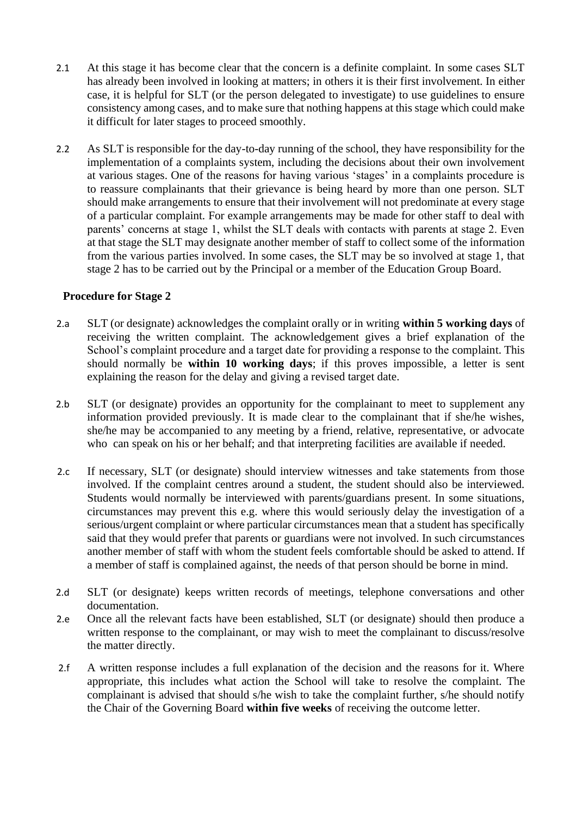- 2.1 At this stage it has become clear that the concern is a definite complaint. In some cases SLT has already been involved in looking at matters; in others it is their first involvement. In either case, it is helpful for SLT (or the person delegated to investigate) to use guidelines to ensure consistency among cases, and to make sure that nothing happens at this stage which could make it difficult for later stages to proceed smoothly.
- 2.2 As SLT is responsible for the day-to-day running of the school, they have responsibility for the implementation of a complaints system, including the decisions about their own involvement at various stages. One of the reasons for having various 'stages' in a complaints procedure is to reassure complainants that their grievance is being heard by more than one person. SLT should make arrangements to ensure that their involvement will not predominate at every stage of a particular complaint. For example arrangements may be made for other staff to deal with parents' concerns at stage 1, whilst the SLT deals with contacts with parents at stage 2. Even at that stage the SLT may designate another member of staff to collect some of the information from the various parties involved. In some cases, the SLT may be so involved at stage 1, that stage 2 has to be carried out by the Principal or a member of the Education Group Board.

#### **Procedure for Stage 2**

- 2.a SLT (or designate) acknowledges the complaint orally or in writing **within 5 working days** of receiving the written complaint. The acknowledgement gives a brief explanation of the School's complaint procedure and a target date for providing a response to the complaint. This should normally be **within 10 working days**; if this proves impossible, a letter is sent explaining the reason for the delay and giving a revised target date.
- 2.b SLT (or designate) provides an opportunity for the complainant to meet to supplement any information provided previously. It is made clear to the complainant that if she/he wishes, she/he may be accompanied to any meeting by a friend, relative, representative, or advocate who can speak on his or her behalf; and that interpreting facilities are available if needed.
- 2.c If necessary, SLT (or designate) should interview witnesses and take statements from those involved. If the complaint centres around a student, the student should also be interviewed. Students would normally be interviewed with parents/guardians present. In some situations, circumstances may prevent this e.g. where this would seriously delay the investigation of a serious/urgent complaint or where particular circumstances mean that a student has specifically said that they would prefer that parents or guardians were not involved. In such circumstances another member of staff with whom the student feels comfortable should be asked to attend. If a member of staff is complained against, the needs of that person should be borne in mind.
- 2.d SLT (or designate) keeps written records of meetings, telephone conversations and other documentation.
- 2.e Once all the relevant facts have been established, SLT (or designate) should then produce a written response to the complainant, or may wish to meet the complainant to discuss/resolve the matter directly.
- 2.f A written response includes a full explanation of the decision and the reasons for it. Where appropriate, this includes what action the School will take to resolve the complaint. The complainant is advised that should s/he wish to take the complaint further, s/he should notify the Chair of the Governing Board **within five weeks** of receiving the outcome letter.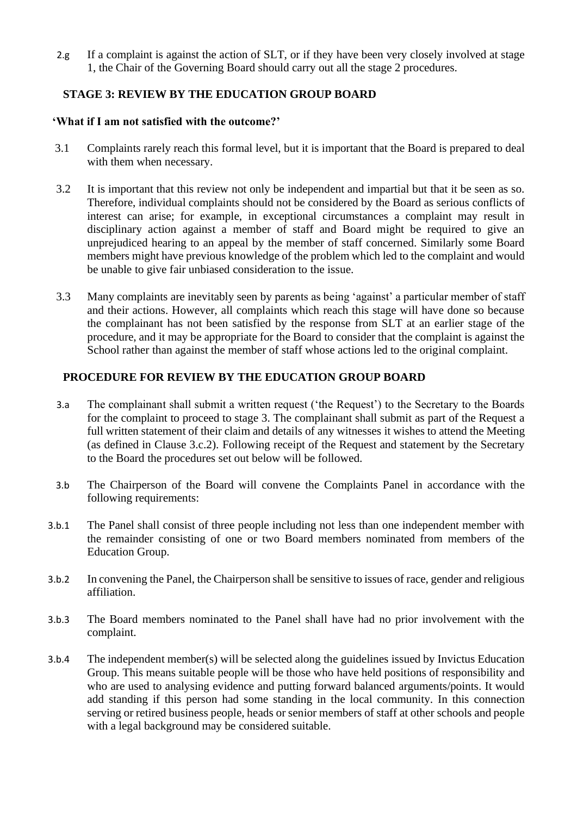2.g If a complaint is against the action of SLT, or if they have been very closely involved at stage 1, the Chair of the Governing Board should carry out all the stage 2 procedures.

### **STAGE 3: REVIEW BY THE EDUCATION GROUP BOARD**

#### **'What if I am not satisfied with the outcome?'**

- 3.1 Complaints rarely reach this formal level, but it is important that the Board is prepared to deal with them when necessary.
- 3.2 It is important that this review not only be independent and impartial but that it be seen as so. Therefore, individual complaints should not be considered by the Board as serious conflicts of interest can arise; for example, in exceptional circumstances a complaint may result in disciplinary action against a member of staff and Board might be required to give an unprejudiced hearing to an appeal by the member of staff concerned. Similarly some Board members might have previous knowledge of the problem which led to the complaint and would be unable to give fair unbiased consideration to the issue.
- 3.3 Many complaints are inevitably seen by parents as being 'against' a particular member of staff and their actions. However, all complaints which reach this stage will have done so because the complainant has not been satisfied by the response from SLT at an earlier stage of the procedure, and it may be appropriate for the Board to consider that the complaint is against the School rather than against the member of staff whose actions led to the original complaint.

### **PROCEDURE FOR REVIEW BY THE EDUCATION GROUP BOARD**

- 3.a The complainant shall submit a written request ('the Request') to the Secretary to the Boards for the complaint to proceed to stage 3. The complainant shall submit as part of the Request a full written statement of their claim and details of any witnesses it wishes to attend the Meeting (as defined in Clause 3.c.2). Following receipt of the Request and statement by the Secretary to the Board the procedures set out below will be followed.
- 3.b The Chairperson of the Board will convene the Complaints Panel in accordance with the following requirements:
- 3.b.1 The Panel shall consist of three people including not less than one independent member with the remainder consisting of one or two Board members nominated from members of the Education Group.
- 3.b.2 In convening the Panel, the Chairperson shall be sensitive to issues of race, gender and religious affiliation.
- 3.b.3 The Board members nominated to the Panel shall have had no prior involvement with the complaint.
- 3.b.4 The independent member(s) will be selected along the guidelines issued by Invictus Education Group. This means suitable people will be those who have held positions of responsibility and who are used to analysing evidence and putting forward balanced arguments/points. It would add standing if this person had some standing in the local community. In this connection serving or retired business people, heads or senior members of staff at other schools and people with a legal background may be considered suitable.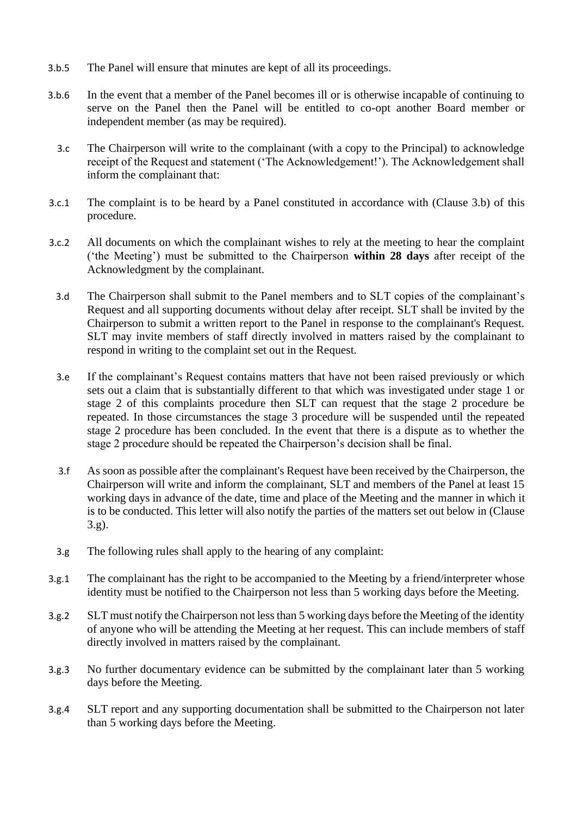- 3.b.5 The Panel will ensure that minutes are kept of all its proceedings.
- 3.b.6 In the event that a member of the Panel becomes ill or is otherwise incapable of continuing to serve on the Panel then the Panel will be entitled to co-opt another Board member or independent member (as may be required).
	- 3.c The Chairperson will write to the complainant (with a copy to the Principal) to acknowledge receipt of the Request and statement ('The Acknowledgement!'). The Acknowledgement shall inform the complainant that:
- 3.c.1 The complaint is to be heard by a Panel constituted in accordance with (Clause 3.b) of this procedure.
- 3.c.2 All documents on which the complainant wishes to rely at the meeting to hear the complaint ('the Meeting') must be submitted to the Chairperson **within 28 days** after receipt of the Acknowledgment by the complainant.
	- 3.d The Chairperson shall submit to the Panel members and to SLT copies of the complainant's Request and all supporting documents without delay after receipt. SLT shall be invited by the Chairperson to submit a written report to the Panel in response to the complainant's Request. SLT may invite members of staff directly involved in matters raised by the complainant to respond in writing to the complaint set out in the Request.
	- 3.e If the complainant's Request contains matters that have not been raised previously or which sets out a claim that is substantially different to that which was investigated under stage 1 or stage 2 of this complaints procedure then SLT can request that the stage 2 procedure be repeated. In those circumstances the stage 3 procedure will be suspended until the repeated stage 2 procedure has been concluded. In the event that there is a dispute as to whether the stage 2 procedure should be repeated the Chairperson's decision shall be final.
	- 3.f As soon as possible after the complainant's Request have been received by the Chairperson, the Chairperson will write and inform the complainant, SLT and members of the Panel at least 15 working days in advance of the date, time and place of the Meeting and the manner in which it is to be conducted. This letter will also notify the parties of the matters set out below in (Clause 3.g).
	- 3.g The following rules shall apply to the hearing of any complaint:
- 3.g.1 The complainant has the right to be accompanied to the Meeting by a friend/interpreter whose identity must be notified to the Chairperson not less than 5 working days before the Meeting.
- 3.g.2 SLT must notify the Chairperson not less than 5 working days before the Meeting of the identity of anyone who will be attending the Meeting at her request. This can include members of staff directly involved in matters raised by the complainant.
- 3.g.3 No further documentary evidence can be submitted by the complainant later than 5 working days before the Meeting.
- 3.g.4 SLT report and any supporting documentation shall be submitted to the Chairperson not later than 5 working days before the Meeting.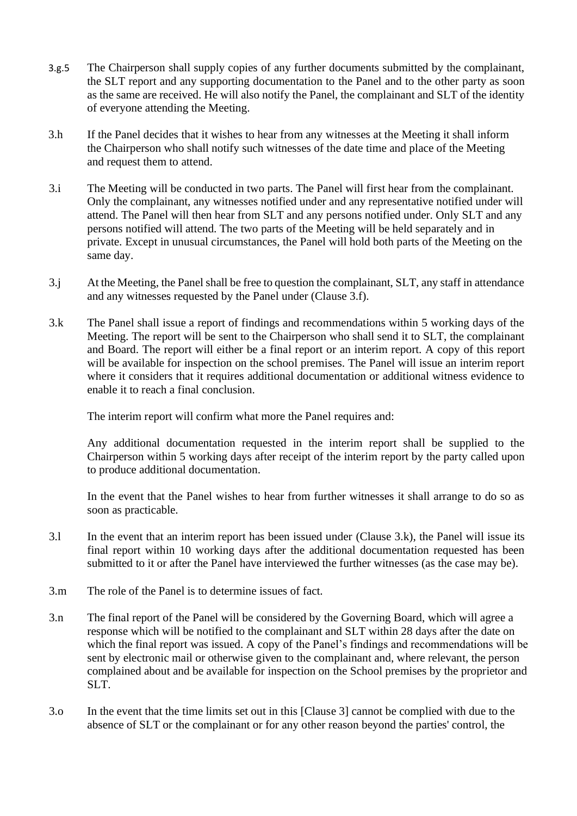- 3.g.5 The Chairperson shall supply copies of any further documents submitted by the complainant, the SLT report and any supporting documentation to the Panel and to the other party as soon as the same are received. He will also notify the Panel, the complainant and SLT of the identity of everyone attending the Meeting.
- 3.h If the Panel decides that it wishes to hear from any witnesses at the Meeting it shall inform the Chairperson who shall notify such witnesses of the date time and place of the Meeting and request them to attend.
- 3.i The Meeting will be conducted in two parts. The Panel will first hear from the complainant. Only the complainant, any witnesses notified under and any representative notified under will attend. The Panel will then hear from SLT and any persons notified under. Only SLT and any persons notified will attend. The two parts of the Meeting will be held separately and in private. Except in unusual circumstances, the Panel will hold both parts of the Meeting on the same day.
- 3.j At the Meeting, the Panel shall be free to question the complainant, SLT, any staff in attendance and any witnesses requested by the Panel under (Clause 3.f).
- 3.k The Panel shall issue a report of findings and recommendations within 5 working days of the Meeting. The report will be sent to the Chairperson who shall send it to SLT, the complainant and Board. The report will either be a final report or an interim report. A copy of this report will be available for inspection on the school premises. The Panel will issue an interim report where it considers that it requires additional documentation or additional witness evidence to enable it to reach a final conclusion.

The interim report will confirm what more the Panel requires and:

Any additional documentation requested in the interim report shall be supplied to the Chairperson within 5 working days after receipt of the interim report by the party called upon to produce additional documentation.

In the event that the Panel wishes to hear from further witnesses it shall arrange to do so as soon as practicable.

- 3.l In the event that an interim report has been issued under (Clause 3.k), the Panel will issue its final report within 10 working days after the additional documentation requested has been submitted to it or after the Panel have interviewed the further witnesses (as the case may be).
- 3.m The role of the Panel is to determine issues of fact.
- 3.n The final report of the Panel will be considered by the Governing Board, which will agree a response which will be notified to the complainant and SLT within 28 days after the date on which the final report was issued. A copy of the Panel's findings and recommendations will be sent by electronic mail or otherwise given to the complainant and, where relevant, the person complained about and be available for inspection on the School premises by the proprietor and SLT.
- 3.o In the event that the time limits set out in this [Clause 3] cannot be complied with due to the absence of SLT or the complainant or for any other reason beyond the parties' control, the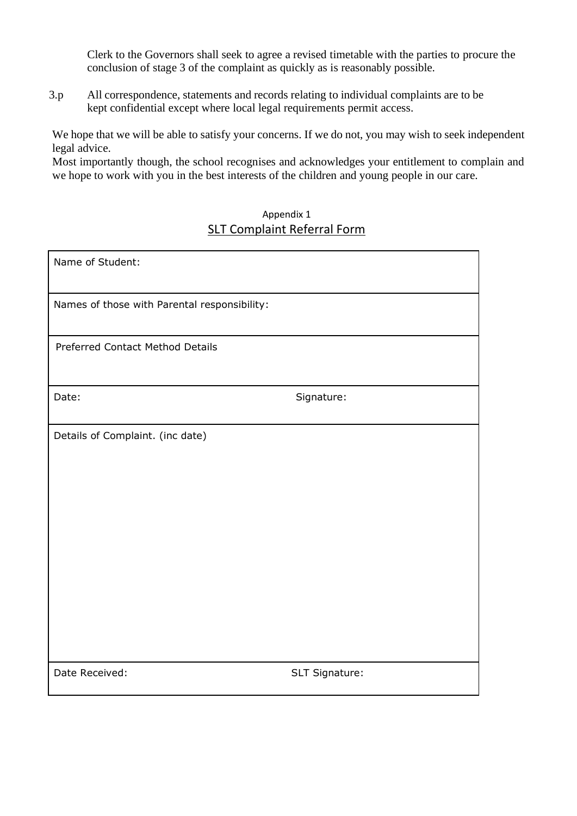Clerk to the Governors shall seek to agree a revised timetable with the parties to procure the conclusion of stage 3 of the complaint as quickly as is reasonably possible.

3.p All correspondence, statements and records relating to individual complaints are to be kept confidential except where local legal requirements permit access.

We hope that we will be able to satisfy your concerns. If we do not, you may wish to seek independent legal advice.

Most importantly though, the school recognises and acknowledges your entitlement to complain and we hope to work with you in the best interests of the children and young people in our care.

### Appendix 1 SLT Complaint Referral Form

| Name of Student:                             |                |
|----------------------------------------------|----------------|
| Names of those with Parental responsibility: |                |
| Preferred Contact Method Details             |                |
| Date:                                        | Signature:     |
| Details of Complaint. (inc date)             |                |
| Date Received:                               | SLT Signature: |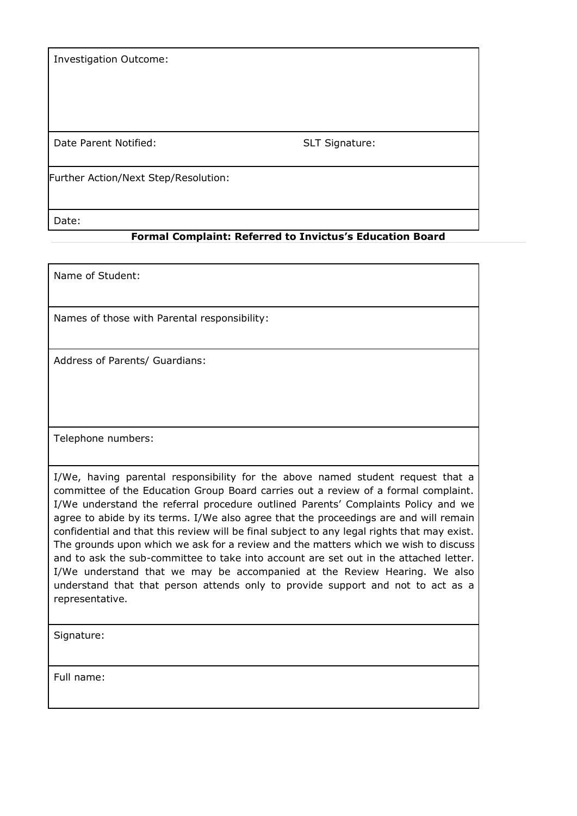Investigation Outcome:

Date Parent Notified: SLT Signature:

Further Action/Next Step/Resolution:

Date:

#### **Formal Complaint: Referred to Invictus's Education Board**

Name of Student:

Names of those with Parental responsibility:

Address of Parents/ Guardians:

Telephone numbers:

I/We, having parental responsibility for the above named student request that a committee of the Education Group Board carries out a review of a formal complaint. I/We understand the referral procedure outlined Parents' Complaints Policy and we agree to abide by its terms. I/We also agree that the proceedings are and will remain confidential and that this review will be final subject to any legal rights that may exist. The grounds upon which we ask for a review and the matters which we wish to discuss and to ask the sub-committee to take into account are set out in the attached letter. I/We understand that we may be accompanied at the Review Hearing. We also understand that that person attends only to provide support and not to act as a representative.

Signature:

Full name: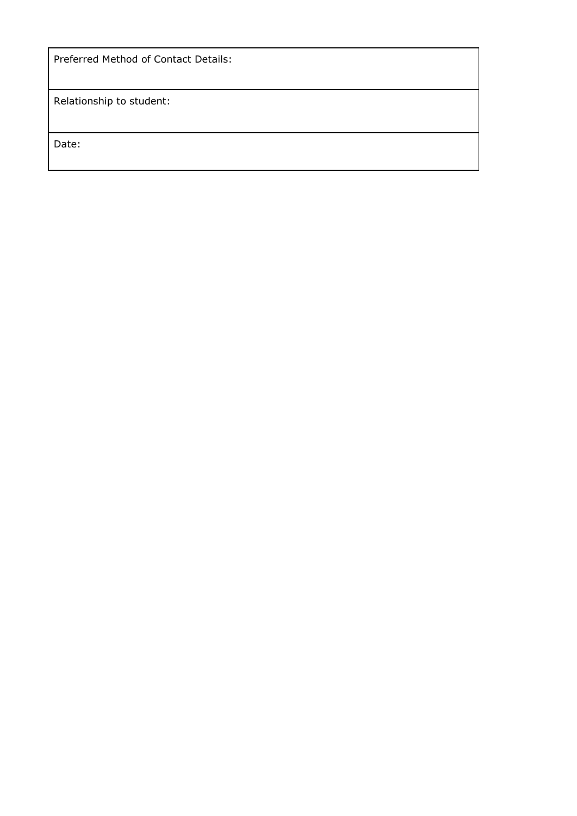|  |  | Preferred Method of Contact Details: |  |
|--|--|--------------------------------------|--|
|--|--|--------------------------------------|--|

Relationship to student:

Date: